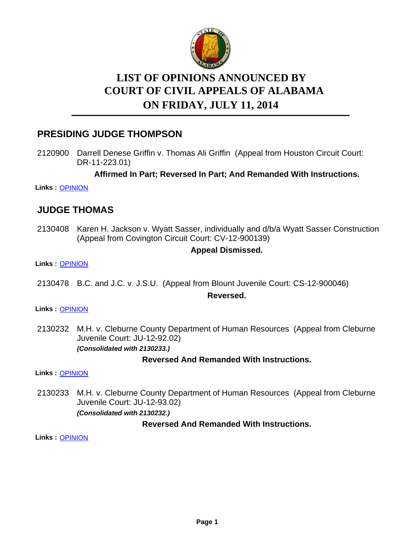

# **LIST OF OPINIONS ANNOUNCED BY ON FRIDAY, JULY 11, 2014 COURT OF CIVIL APPEALS OF ALABAMA**

## **PRESIDING JUDGE THOMPSON**

2120900 Darrell Denese Griffin v. Thomas Ali Griffin (Appeal from Houston Circuit Court: DR-11-223.01)

**Affirmed In Part; Reversed In Part; And Remanded With Instructions.**

**Links :** [OPINION](https://acis.alabama.gov/displaydocs.cfm?no=590490&event=4420K2EEQ)

## **JUDGE THOMAS**

2130408 Karen H. Jackson v. Wyatt Sasser, individually and d/b/a Wyatt Sasser Construction (Appeal from Covington Circuit Court: CV-12-900139)

### **Appeal Dismissed.**

#### **Links :** [OPINION](https://acis.alabama.gov/displaydocs.cfm?no=590492&event=4420K2F3G)

2130478 B.C. and J.C. v. J.S.U. (Appeal from Blount Juvenile Court: CS-12-900046)

#### **Reversed.**

#### **Links :** [OPINION](https://acis.alabama.gov/displaydocs.cfm?no=590493&event=4420K2F9Z)

2130232 M.H. v. Cleburne County Department of Human Resources (Appeal from Cleburne Juvenile Court: JU-12-92.02) *(Consolidated with 2130233.)*

### **Reversed And Remanded With Instructions.**

**Links :** [OPINION](https://acis.alabama.gov/displaydocs.cfm?no=590491&event=4420K2ELO)

2130233 M.H. v. Cleburne County Department of Human Resources (Appeal from Cleburne Juvenile Court: JU-12-93.02)

*(Consolidated with 2130232.)*

### **Reversed And Remanded With Instructions.**

**Links :** [OPINION](https://acis.alabama.gov/displaydocs.cfm?no=590491&event=4420K2ELO)